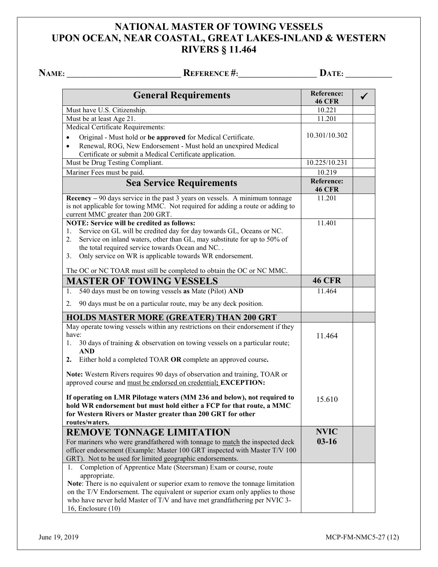## **NATIONAL MASTER OF TOWING VESSELS UPON OCEAN, NEAR COASTAL, GREAT LAKES-INLAND & WESTERN RIVERS § 11.464**

**NAME: \_\_\_\_\_\_\_\_\_\_\_\_\_\_\_\_\_\_\_\_\_\_\_\_\_\_\_\_\_\_\_\_ REFERENCE #:\_\_\_\_\_\_\_\_\_\_\_\_\_\_\_\_\_\_\_\_\_\_ DATE: \_\_\_\_\_\_\_\_\_\_\_\_\_**

| <b>General Requirements</b>                                                                                                       | <b>Reference:</b><br><b>46 CFR</b> |  |
|-----------------------------------------------------------------------------------------------------------------------------------|------------------------------------|--|
| Must have U.S. Citizenship.                                                                                                       | 10.221                             |  |
| Must be at least Age 21.                                                                                                          | 11.201                             |  |
| Medical Certificate Requirements:                                                                                                 |                                    |  |
| Original - Must hold or be approved for Medical Certificate.<br>$\bullet$                                                         | 10.301/10.302                      |  |
| Renewal, ROG, New Endorsement - Must hold an unexpired Medical<br>$\bullet$                                                       |                                    |  |
| Certificate or submit a Medical Certificate application.                                                                          |                                    |  |
| Must be Drug Testing Compliant.                                                                                                   | 10.225/10.231                      |  |
| Mariner Fees must be paid.                                                                                                        | 10.219                             |  |
| <b>Sea Service Requirements</b>                                                                                                   | <b>Reference:</b><br><b>46 CFR</b> |  |
| $\textbf{Recency} - 90 \text{ days}$ service in the past 3 years on vessels. A minimum tonnage                                    | 11.201                             |  |
| is not applicable for towing MMC. Not required for adding a route or adding to                                                    |                                    |  |
| current MMC greater than 200 GRT.                                                                                                 |                                    |  |
| <b>NOTE: Service will be credited as follows:</b>                                                                                 | 11.401                             |  |
| Service on GL will be credited day for day towards GL, Oceans or NC.<br>1.                                                        |                                    |  |
| Service on inland waters, other than GL, may substitute for up to 50% of<br>2.<br>the total required service towards Ocean and NC |                                    |  |
| Only service on WR is applicable towards WR endorsement.<br>3.                                                                    |                                    |  |
|                                                                                                                                   |                                    |  |
| The OC or NC TOAR must still be completed to obtain the OC or NC MMC.                                                             |                                    |  |
| <b>MASTER OF TOWING VESSELS</b>                                                                                                   | <b>46 CFR</b>                      |  |
| 540 days must be on towing vessels as Mate (Pilot) AND<br>1.                                                                      | 11.464                             |  |
| 90 days must be on a particular route, may be any deck position.<br>2.                                                            |                                    |  |
| <b>HOLDS MASTER MORE (GREATER) THAN 200 GRT</b>                                                                                   |                                    |  |
| May operate towing vessels within any restrictions on their endorsement if they                                                   |                                    |  |
| have:                                                                                                                             | 11.464                             |  |
| 30 days of training & observation on towing vessels on a particular route;<br>1.                                                  |                                    |  |
| <b>AND</b>                                                                                                                        |                                    |  |
| Either hold a completed TOAR OR complete an approved course.<br>2.                                                                |                                    |  |
| Note: Western Rivers requires 90 days of observation and training, TOAR or                                                        |                                    |  |
| approved course and must be endorsed on credential; EXCEPTION:                                                                    |                                    |  |
|                                                                                                                                   |                                    |  |
| If operating on LMR Pilotage waters (MM 236 and below), not required to                                                           | 15.610                             |  |
| hold WR endorsement but must hold either a FCP for that route, a MMC                                                              |                                    |  |
| for Western Rivers or Master greater than 200 GRT for other                                                                       |                                    |  |
| routes/waters.                                                                                                                    |                                    |  |
| <b>REMOVE TONNAGE LIMITATION</b>                                                                                                  | <b>NVIC</b>                        |  |
| For mariners who were grandfathered with tonnage to match the inspected deck                                                      | $03-16$                            |  |
| officer endorsement (Example: Master 100 GRT inspected with Master T/V 100                                                        |                                    |  |
| GRT). Not to be used for limited geographic endorsements.                                                                         |                                    |  |
| Completion of Apprentice Mate (Steersman) Exam or course, route<br>1.                                                             |                                    |  |
| appropriate.<br>Note: There is no equivalent or superior exam to remove the tonnage limitation                                    |                                    |  |
| on the T/V Endorsement. The equivalent or superior exam only applies to those                                                     |                                    |  |
| who have never held Master of T/V and have met grandfathering per NVIC 3-                                                         |                                    |  |
| 16, Enclosure $(10)$                                                                                                              |                                    |  |

June 19, 2019 MCP-FM-NMC5-27 (12)